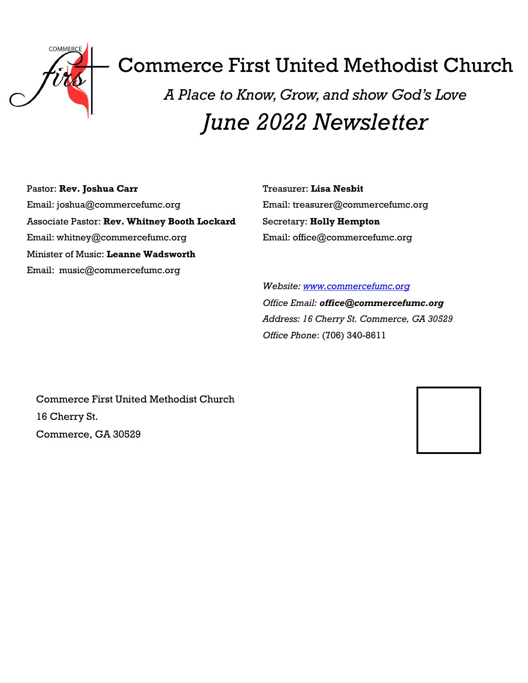

# Commerce First United Methodist Church

*A Place to Know, Grow, and show God's Love June 2022 Newsletter*

Pastor: **Rev. Joshua Carr** Email: joshua@commercefumc.org Associate Pastor: **Rev. Whitney Booth Lockard** Email: whitney@commercefumc.org Minister of Music: **Leanne Wadsworth** Email: music@commercefumc.org

Treasurer: **Lisa Nesbit** Email: treasurer@commercefumc.org Secretary: **Holly Hempton** Email: office@commercefumc.org

*Website: [www.commercefumc.org](http://www.commercefumc.org) Office Email: office@commercefumc.org Address: 16 Cherry St. Commerce, GA 30529 Office Phone*: (706) 340-8611

Commerce First United Methodist Church 16 Cherry St. Commerce, GA 30529

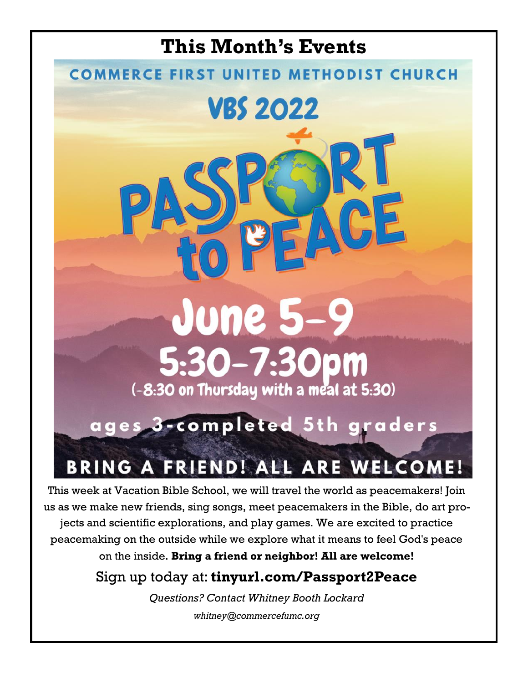

This week at Vacation Bible School, we will travel the world as peacemakers! Join us as we make new friends, sing songs, meet peacemakers in the Bible, do art projects and scientific explorations, and play games. We are excited to practice peacemaking on the outside while we explore what it means to feel God's peace on the inside. **Bring a friend or neighbor! All are welcome!** 

Sign up today at: **tinyurl.com/Passport2Peace** 

*Questions? Contact Whitney Booth Lockard whitney@commercefumc.org*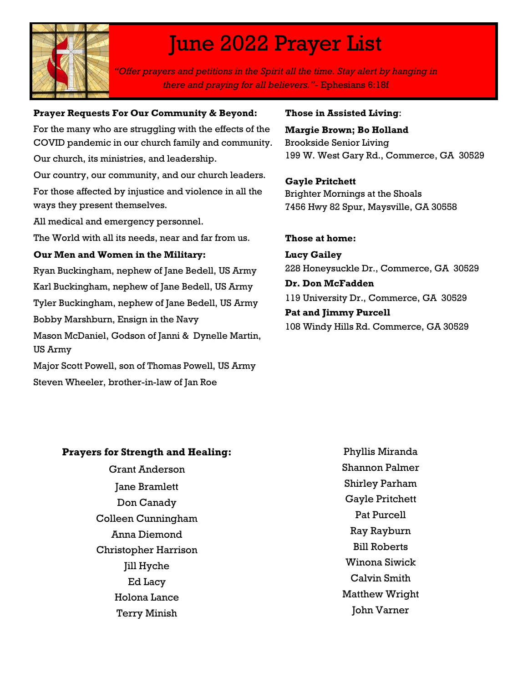

## June 2022 Prayer List

*"Offer prayers and petitions in the Spirit all the time. Stay alert by hanging in there and praying for all believers."-* Ephesians 6:18f

#### **Prayer Requests For Our Community & Beyond:**

For the many who are struggling with the effects of the COVID pandemic in our church family and community.

Our church, its ministries, and leadership.

Our country, our community, and our church leaders.

For those affected by injustice and violence in all the ways they present themselves.

All medical and emergency personnel.

The World with all its needs, near and far from us.

### **Our Men and Women in the Military:**

Ryan Buckingham, nephew of Jane Bedell, US Army

Karl Buckingham, nephew of Jane Bedell, US Army

Tyler Buckingham, nephew of Jane Bedell, US Army

Bobby Marshburn, Ensign in the Navy

Mason McDaniel, Godson of Janni & Dynelle Martin, US Army

Major Scott Powell, son of Thomas Powell, US Army Steven Wheeler, brother-in-law of Jan Roe

### **Those in Assisted Living**:

**Margie Brown; Bo Holland** Brookside Senior Living 199 W. West Gary Rd., Commerce, GA 30529

**Gayle Pritchett** Brighter Mornings at the Shoals 7456 Hwy 82 Spur, Maysville, GA 30558

### **Those at home:**

**Lucy Gailey** 228 Honeysuckle Dr., Commerce, GA 30529

### **Dr. Don McFadden**

119 University Dr., Commerce, GA 30529

**Pat and Jimmy Purcell** 108 Windy Hills Rd. Commerce, GA 30529

### **Prayers for Strength and Healing:**

Grant Anderson Jane Bramlett Don Canady Colleen Cunningham Anna Diemond Christopher Harrison Jill Hyche Ed Lacy Holona Lance Terry Minish

Phyllis Miranda Shannon Palmer Shirley Parham Gayle Pritchett Pat Purcell Ray Rayburn Bill Roberts Winona Siwick Calvin Smith Matthew Wright John Varner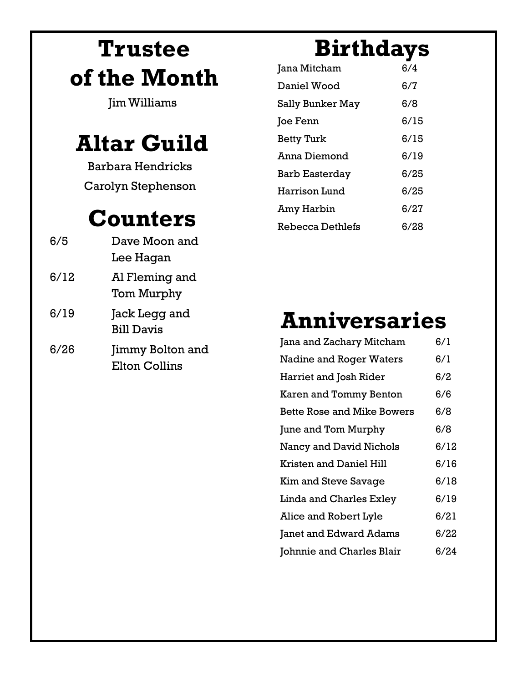# **Trustee of the Month**

Jim Williams

## **Altar Guild**

Barbara Hendricks Carolyn Stephenson

## **Counters**

| 6/5  | Dave Moon and                                   |
|------|-------------------------------------------------|
|      | Lee Hagan                                       |
| 6/12 | Al Fleming and<br>Tom Murphy                    |
| 6/19 | Jack Legg and<br><b>Bill Davis</b>              |
| 6/26 | <b>Jimmy Bolton and</b><br><b>Elton Collins</b> |

# **Birthdays**

| Jana Mitcham            | 6/4  |
|-------------------------|------|
| Daniel Wood             | 6/7  |
| Sally Bunker May        | 6/8  |
| Joe Fenn                | 6/15 |
| <b>Betty Turk</b>       | 6/15 |
| Anna Diemond            | 6/19 |
| Barb Easterday          | 6/25 |
| Harrison Lund           | 6/25 |
| Amy Harbin              | 6/27 |
| <b>Rebecca Dethlefs</b> | 6/28 |

# **Anniversaries**

| Jana and Zachary Mitcham          | 6/1  |
|-----------------------------------|------|
| <b>Nadine and Roger Waters</b>    | 6/1  |
| Harriet and Josh Rider            | 6/2  |
| Karen and Tommy Benton            | 6/6  |
| <b>Bette Rose and Mike Bowers</b> | 6/8  |
| June and Tom Murphy               | 6/8  |
| Nancy and David Nichols           | 6/12 |
| Kristen and Daniel Hill           | 6/16 |
| <b>Kim and Steve Savage</b>       | 6/18 |
| Linda and Charles Exley           | 6/19 |
| Alice and Robert Lyle             | 6/21 |
| Janet and Edward Adams            | 6/22 |
| Johnnie and Charles Blair         | 6/24 |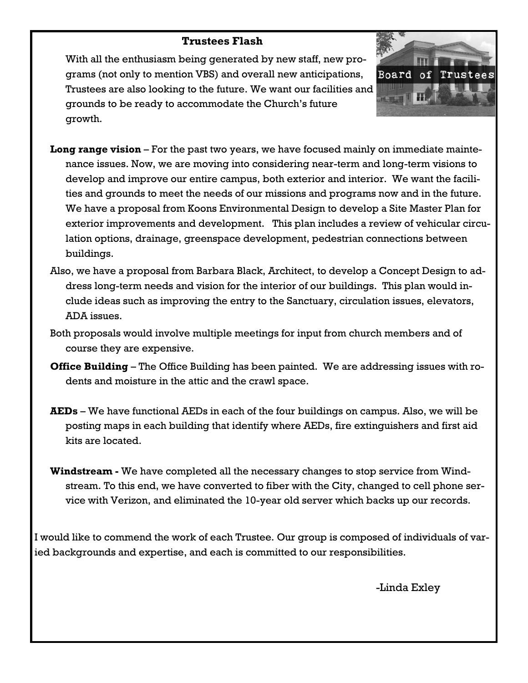### **Trustees Flash**

With all the enthusiasm being generated by new staff, new programs (not only to mention VBS) and overall new anticipations, Trustees are also looking to the future. We want our facilities and grounds to be ready to accommodate the Church's future growth.



- **Long range vision**  For the past two years, we have focused mainly on immediate maintenance issues. Now, we are moving into considering near-term and long-term visions to develop and improve our entire campus, both exterior and interior. We want the facilities and grounds to meet the needs of our missions and programs now and in the future. We have a proposal from Koons Environmental Design to develop a Site Master Plan for exterior improvements and development. This plan includes a review of vehicular circulation options, drainage, greenspace development, pedestrian connections between buildings.
- Also, we have a proposal from Barbara Black, Architect, to develop a Concept Design to address long-term needs and vision for the interior of our buildings. This plan would include ideas such as improving the entry to the Sanctuary, circulation issues, elevators, ADA issues.
- Both proposals would involve multiple meetings for input from church members and of course they are expensive.
- **Office Building** The Office Building has been painted. We are addressing issues with rodents and moisture in the attic and the crawl space.
- **AEDs**  We have functional AEDs in each of the four buildings on campus. Also, we will be posting maps in each building that identify where AEDs, fire extinguishers and first aid kits are located.
- **Windstream -** We have completed all the necessary changes to stop service from Windstream. To this end, we have converted to fiber with the City, changed to cell phone service with Verizon, and eliminated the 10-year old server which backs up our records.

I would like to commend the work of each Trustee. Our group is composed of individuals of varied backgrounds and expertise, and each is committed to our responsibilities.

-Linda Exley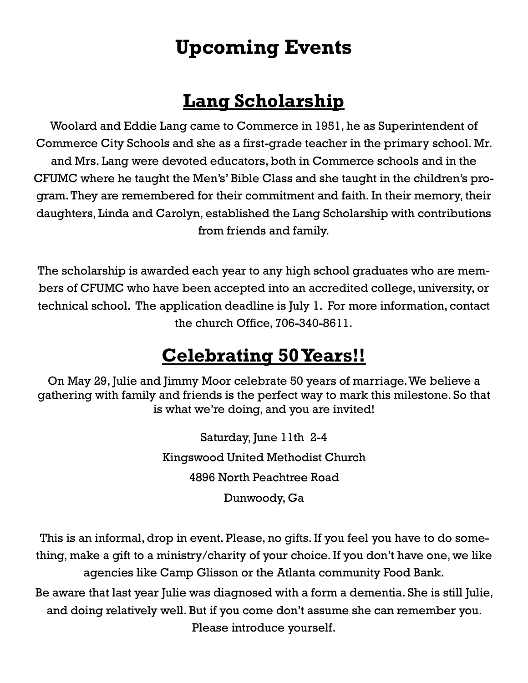### **Upcoming Events**

### **Lang Scholarship**

Woolard and Eddie Lang came to Commerce in 1951, he as Superintendent of Commerce City Schools and she as a first-grade teacher in the primary school. Mr. and Mrs. Lang were devoted educators, both in Commerce schools and in the CFUMC where he taught the Men's' Bible Class and she taught in the children's program. They are remembered for their commitment and faith. In their memory, their daughters, Linda and Carolyn, established the Lang Scholarship with contributions from friends and family.

The scholarship is awarded each year to any high school graduates who are members of CFUMC who have been accepted into an accredited college, university, or technical school. The application deadline is July 1. For more information, contact the church Office, 706-340-8611.

### **Celebrating 50 Years!!**

On May 29, Julie and Jimmy Moor celebrate 50 years of marriage. We believe a gathering with family and friends is the perfect way to mark this milestone. So that is what we're doing, and you are invited!

> Saturday, June 11th 2-4 Kingswood United Methodist Church 4896 North Peachtree Road Dunwoody, Ga

This is an informal, drop in event. Please, no gifts. If you feel you have to do something, make a gift to a ministry/charity of your choice. If you don't have one, we like agencies like Camp Glisson or the Atlanta community Food Bank. Be aware that last year Julie was diagnosed with a form a dementia. She is still Julie,

and doing relatively well. But if you come don't assume she can remember you. Please introduce yourself.